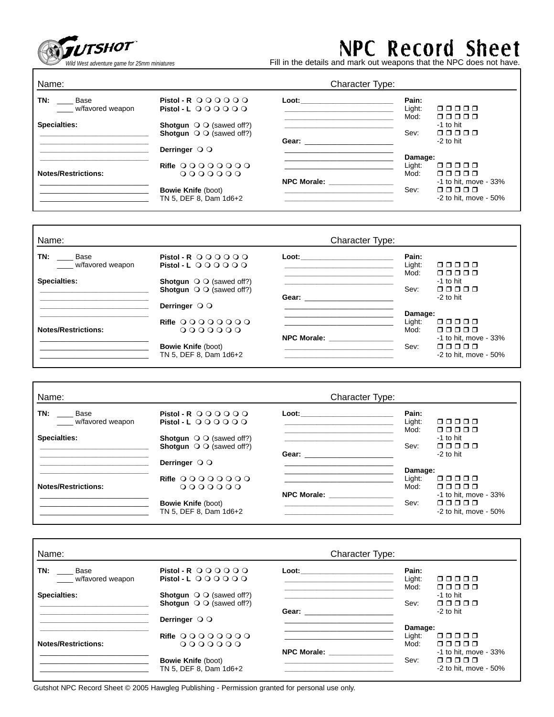

## NPC Record Sheet

*Wild West adventure game for 25mm miniatures* Fill in the details and mark out weapons that the NPC does not have.

| Name:                                  | Character Type:                                                                                                 |                    |                            |  |
|----------------------------------------|-----------------------------------------------------------------------------------------------------------------|--------------------|----------------------------|--|
| TN:<br><b>Base</b><br>w/favored weapon | Pistol - R $\bigcirc$ O O O O O<br>Pistol - L $\bigcirc$ $\bigcirc$ $\bigcirc$ $\bigcirc$ $\bigcirc$ $\bigcirc$ | Loot:              | Pain:<br>Light:<br>00000   |  |
|                                        |                                                                                                                 |                    | Mod:<br>00000              |  |
| Specialties:                           | <b>Shotgun</b> $\bigcirc$ $\bigcirc$ (sawed off?)<br><b>Shotqun</b> $\bigcirc$ $\bigcirc$ (sawed off?)          |                    | -1 to hit<br>nnnnn<br>Sev: |  |
|                                        |                                                                                                                 | Gear:              | $-2$ to hit                |  |
|                                        | Derringer $\bigcirc$ $\bigcirc$                                                                                 |                    | Damage:                    |  |
|                                        | Rifle 0000000                                                                                                   |                    | Light:<br>00000            |  |
| <b>Notes/Restrictions:</b>             | 0000000                                                                                                         |                    | Mod:<br>00000              |  |
|                                        |                                                                                                                 | <b>NPC Morale:</b> | $-1$ to hit, move $-33%$   |  |
|                                        | <b>Bowie Knife (boot)</b>                                                                                       |                    | ooooo<br>Sev:              |  |
|                                        | TN 5. DEF 8. Dam 1d6+2                                                                                          |                    | $-2$ to hit, move $-50\%$  |  |

| Name:                           |                                                                                                        | Character Type:                                      |                         |                                                             |
|---------------------------------|--------------------------------------------------------------------------------------------------------|------------------------------------------------------|-------------------------|-------------------------------------------------------------|
| TN:<br>Base<br>w/favored weapon | Pistol - R $\bigcirc$ O O O O O<br>Pistol - L $\circ$ O O O O O                                        | Loot:                                                | Pain:<br>Light:<br>Mod: | 00000<br>ooooo                                              |
| Specialties:                    | <b>Shotqun</b> $\bigcirc$ $\bigcirc$ (sawed off?)<br><b>Shotgun</b> $\bigcirc$ $\bigcirc$ (sawed off?) | Gear: <b>Communist Communist Communist Communist</b> | Sev:                    | $-1$ to hit<br>00000<br>$-2$ to hit                         |
|                                 | Derringer $\bigcirc$ $\bigcirc$                                                                        |                                                      | Damage:                 |                                                             |
| <b>Notes/Restrictions:</b>      | Rifle 0000000<br>0000000                                                                               |                                                      | Light:<br>Mod:          | 00000<br>00000                                              |
|                                 | <b>Bowie Knife (boot)</b><br>TN 5, DEF 8, Dam 1d6+2                                                    | <b>NPC Morale:</b>                                   | Sev:                    | -1 to hit, move - 33%<br>00000<br>$-2$ to hit. move $-50\%$ |

| <b>Character Type:</b>                                                                                 |                                                                                                                                                                                                                               |                                                                                                                                                                                                                                |                                                           |
|--------------------------------------------------------------------------------------------------------|-------------------------------------------------------------------------------------------------------------------------------------------------------------------------------------------------------------------------------|--------------------------------------------------------------------------------------------------------------------------------------------------------------------------------------------------------------------------------|-----------------------------------------------------------|
| Pistol - R $\bigcirc$ O O O O O<br>Pistol - L $\circ$ O O O O O                                        | Loot: will be a series of the series of the series of the series of the series of the series of the series of the series of the series of the series of the series of the series of the series of the series of the series of | Pain:<br>Light:                                                                                                                                                                                                                | 00000<br>00000                                            |
| <b>Shotgun</b> $\bigcirc$ $\bigcirc$ (sawed off?)<br><b>Shotqun</b> $\bigcirc$ $\bigcirc$ (sawed off?) |                                                                                                                                                                                                                               | Sev:                                                                                                                                                                                                                           | -1 to hit<br>00000<br>$-2$ to hit                         |
| Derringer $\bigcirc$ $\bigcirc$                                                                        |                                                                                                                                                                                                                               |                                                                                                                                                                                                                                |                                                           |
| Rifle 0000000<br>0000000                                                                               |                                                                                                                                                                                                                               | Light:<br>Mod:                                                                                                                                                                                                                 | 00000<br>ooooo                                            |
| <b>Bowie Knife (boot)</b><br>TN 5, DEF 8, Dam 1d6+2                                                    | <b>NPC Morale:</b>                                                                                                                                                                                                            | Sev:                                                                                                                                                                                                                           | -1 to hit, move - 33%<br>ooooo<br>$-2$ to hit, move - 50% |
|                                                                                                        |                                                                                                                                                                                                                               | Gear: the contract of the contract of the contract of the contract of the contract of the contract of the contract of the contract of the contract of the contract of the contract of the contract of the contract of the cont | Mod:<br>Damage:                                           |

| Name:                           | <b>Character Type:</b>                                                                                 |                                                                                                                                                                                                                                |                         |                           |
|---------------------------------|--------------------------------------------------------------------------------------------------------|--------------------------------------------------------------------------------------------------------------------------------------------------------------------------------------------------------------------------------|-------------------------|---------------------------|
| TN:<br>Base<br>w/favored weapon | Pistol - R $\bigcirc$ O O O O O<br>Pistol - L $QQQQQQ$                                                 | Loot: the contract of the contract of the contract of the contract of the contract of the contract of the contract of the contract of the contract of the contract of the contract of the contract of the contract of the cont | Pain:<br>Light:<br>Mod: | 00000<br>ooooo            |
| Specialties:                    | <b>Shotgun</b> $\bigcirc$ $\bigcirc$ (sawed off?)<br><b>Shotqun</b> $\bigcirc$ $\bigcirc$ (sawed off?) |                                                                                                                                                                                                                                | Sev:                    | $-1$ to hit<br>ooooo      |
|                                 | Derringer $\bigcirc$ $\bigcirc$                                                                        | Gear: the contract of the contract of the contract of the contract of the contract of the contract of the contract of the contract of the contract of the contract of the contract of the contract of the contract of the cont |                         | -2 to hit                 |
|                                 |                                                                                                        |                                                                                                                                                                                                                                | Damage:                 |                           |
|                                 | Rifle 0000000                                                                                          |                                                                                                                                                                                                                                | Light:                  | 00000                     |
| <b>Notes/Restrictions:</b>      | 0000000                                                                                                |                                                                                                                                                                                                                                | Mod:                    | ooooo                     |
|                                 |                                                                                                        | NPC Morale: NPC Moral                                                                                                                                                                                                          |                         | -1 to hit, move - 33%     |
|                                 | <b>Bowie Knife (boot)</b>                                                                              |                                                                                                                                                                                                                                | Sev:                    | ooooo                     |
|                                 | TN 5. DEF 8. Dam 1d6+2                                                                                 |                                                                                                                                                                                                                                |                         | $-2$ to hit. move $-50\%$ |

Gutshot NPC Record Sheet © 2005 Hawgleg Publishing - Permission granted for personal use only.